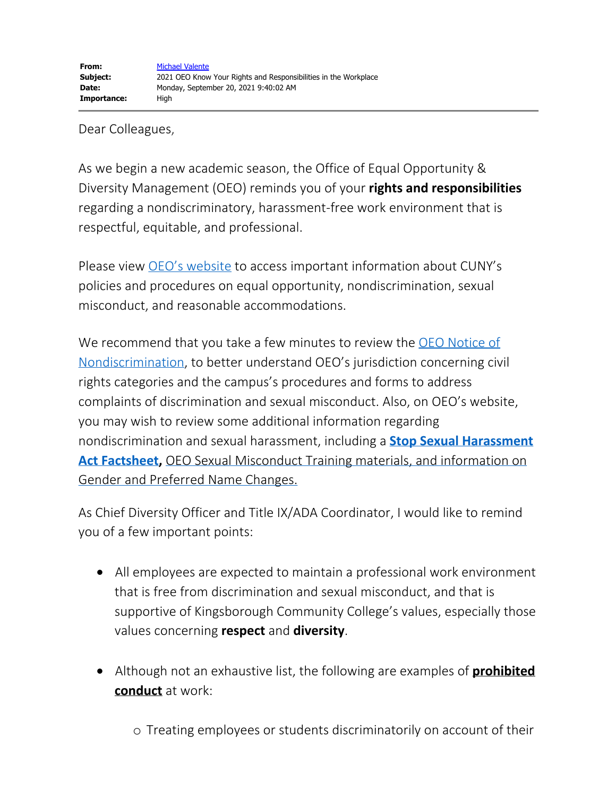Dear Colleagues,

As we begin a new academic season, the Office of Equal Opportunity & Diversity Management (OEO) reminds you of your **rights and responsibilities** regarding a nondiscriminatory, harassment-free work environment that is respectful, equitable, and professional.

Please view [OEO's website](https://www.kbcc.cuny.edu/title_IX/Homepage.html) to access important information about CUNY's policies and procedures on equal opportunity, nondiscrimination, sexual misconduct, and reasonable accommodations.

We recommend that you take a few minutes to review the **OEO** Notice of [Nondiscrimination](https://www.kbcc.cuny.edu/title_IX/documents/NoticeofNondiscriminationAccessibleAugust2019.pdf), to better understand OEO's jurisdiction concerning civil rights categories and the campus's procedures and forms to address complaints of discrimination and sexual misconduct. Also, on OEO's website, you may wish to review some additional information regarding nondiscrimination and sexual harassment, including a **[Stop Sexual Harassment](https://www1.nyc.gov/assets/cchr/downloads/pdf/materials/SexHarass_Factsheet.pdf) [Act Factsheet,](https://www1.nyc.gov/assets/cchr/downloads/pdf/materials/SexHarass_Factsheet.pdf)** OEO Sexual Misconduct Training materials, and information on Gender and Preferred Name Changes.

As Chief Diversity Officer and Title IX/ADA Coordinator, I would like to remind you of a few important points:

- · All employees are expected to maintain a professional work environment that is free from discrimination and sexual misconduct, and that is supportive of Kingsborough Community College's values, especially those values concerning **respect** and **diversity**.
- · Although not an exhaustive list, the following are examples of **prohibited conduct** at work:

o Treating employees or students discriminatorily on account of their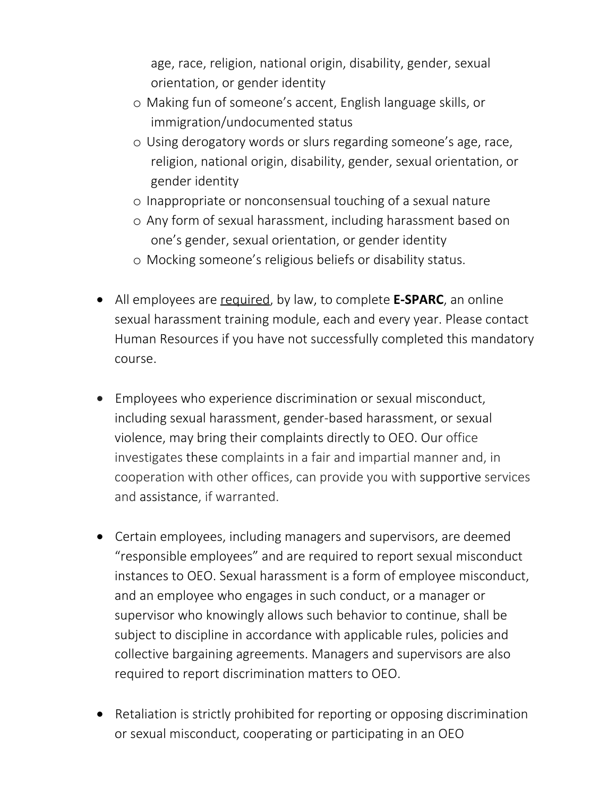age, race, religion, national origin, disability, gender, sexual orientation, or gender identity

- o Making fun of someone's accent, English language skills, or immigration/undocumented status
- o Using derogatory words or slurs regarding someone's age, race, religion, national origin, disability, gender, sexual orientation, or gender identity
- o Inappropriate or nonconsensual touching of a sexual nature
- o Any form of sexual harassment, including harassment based on one's gender, sexual orientation, or gender identity
- o Mocking someone's religious beliefs or disability status.
- All employees are required, by law, to complete **E-SPARC**, an online sexual harassment training module, each and every year. Please contact Human Resources if you have not successfully completed this mandatory course.
- Employees who experience discrimination or sexual misconduct, including sexual harassment, gender-based harassment, or sexual violence, may bring their complaints directly to OEO. Our office investigates these complaints in a fair and impartial manner and, in cooperation with other offices, can provide you with supportive services and assistance, if warranted.
- Certain employees, including managers and supervisors, are deemed "responsible employees" and are required to report sexual misconduct instances to OEO. Sexual harassment is a form of employee misconduct, and an employee who engages in such conduct, or a manager or supervisor who knowingly allows such behavior to continue, shall be subject to discipline in accordance with applicable rules, policies and collective bargaining agreements. Managers and supervisors are also required to report discrimination matters to OEO.
- Retaliation is strictly prohibited for reporting or opposing discrimination or sexual misconduct, cooperating or participating in an OEO